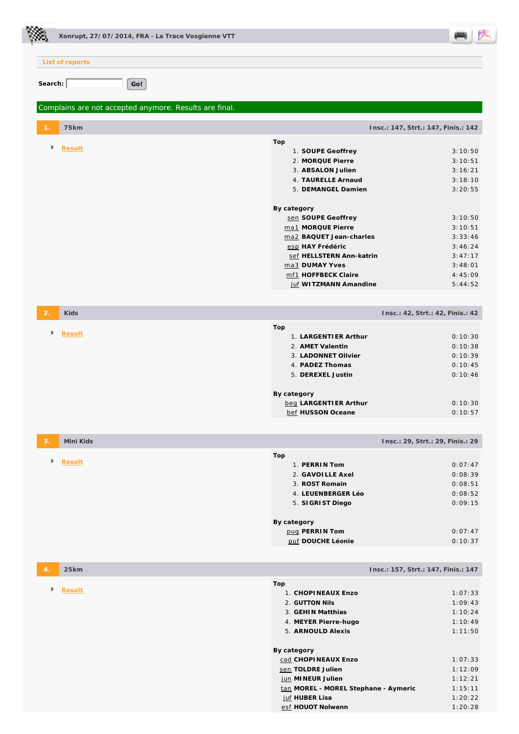Search: Go!

**List of reports**

## *Complains are not accepted anymore. Results are final.*

| 1 <sub>1</sub>   | 75km        |                                                                                                                                                                                                                                                                                                                      | Insc.: 147, Strt.: 147, Finis.: 142                                                                                                         |
|------------------|-------------|----------------------------------------------------------------------------------------------------------------------------------------------------------------------------------------------------------------------------------------------------------------------------------------------------------------------|---------------------------------------------------------------------------------------------------------------------------------------------|
| Þ                | Result      | Top<br>1. SOUPE Geoffrey<br>2. MORQUE Pierre<br>3. ABSALON Julien<br>4. TAURELLE Arnaud<br>5. DEMANGEL Damien<br>By category<br>sen SOUPE Geoffrey<br>ma1 MORQUE Pierre<br>ma2 BAQUET Jean-charles<br>esp HAY Frédéric<br>sef HELLSTERN Ann-katrin<br>ma3 DUMAY Yves<br>mf1 HOFFBECK Claire<br>juf WITZMANN Amandine | 3:10:50<br>3:10:51<br>3:16:21<br>3:18:10<br>3:20:55<br>3:10:50<br>3:10:51<br>3:33:46<br>3:46:24<br>3:47:17<br>3:48:01<br>4:45:09<br>5:44:52 |
| $\overline{2}$ . | <b>Kids</b> |                                                                                                                                                                                                                                                                                                                      | Insc.: 42, Strt.: 42, Finis.: 42                                                                                                            |
| Þ                | Result      | Top<br>1. LARGENTIER Arthur<br>2. AMET Valentin<br>3. LADONNET Olivier<br>4. PADEZ Thomas<br>5. DEREXEL Justin<br>By category<br>beg LARGENTI ER Arthur<br>bef HUSSON Oceane                                                                                                                                         | 0:10:30<br>0:10:38<br>0:10:39<br>0:10:45<br>0:10:46<br>0:10:30<br>0:10:57                                                                   |

| 3. | Mini Kids |                    | Insc.: 29, Strt.: 29, Finis.: 29 |
|----|-----------|--------------------|----------------------------------|
|    |           | Top                |                                  |
|    | Result    | 1. PERRIN Tom      | 0:07:47                          |
|    |           | 2. GAVOILLE Axel   | 0:08:39                          |
|    |           | 3. ROST Romain     | 0:08:51                          |
|    |           | 4. LEUENBERGER Léo | 0:08:52                          |
|    |           | 5. SIGRIST Diego   | 0:09:15                          |
|    |           |                    |                                  |
|    |           | By category        |                                  |
|    |           | pug PERRIN Tom     | 0:07:47                          |
|    |           | puf DOUCHE Léonie  | 0:10:37                          |
|    |           |                    |                                  |

| 4. | 25km   |                                      | Insc.: 157, Strt.: 147, Finis.: 147 |
|----|--------|--------------------------------------|-------------------------------------|
|    |        | Top                                  |                                     |
| Þ. | Result | 1. CHOPINEAUX Enzo                   | 1:07:33                             |
|    |        | 2. GUTTON Nils                       | 1:09:43                             |
|    |        | 3. GEHIN Matthias                    | 1:10:24                             |
|    |        | 4. MEYER Pierre-hugo                 | 1:10:49                             |
|    |        | 5. ARNOULD Alexis                    | 1:11:50                             |
|    |        |                                      |                                     |
|    |        | By category                          |                                     |
|    |        | cad CHOPINEAUX Enzo                  | 1:07:33                             |
|    |        | sen TOLDRE Julien                    | 1:12:09                             |
|    |        | jun MINEUR Julien                    | 1:12:21                             |
|    |        | tan MOREL - MOREL Stephane - Aymeric | 1:15:11                             |
|    |        | juf HUBER Lisa                       | 1:20:22                             |
|    |        | esf HOUOT Nolwenn                    | 1:20:28                             |